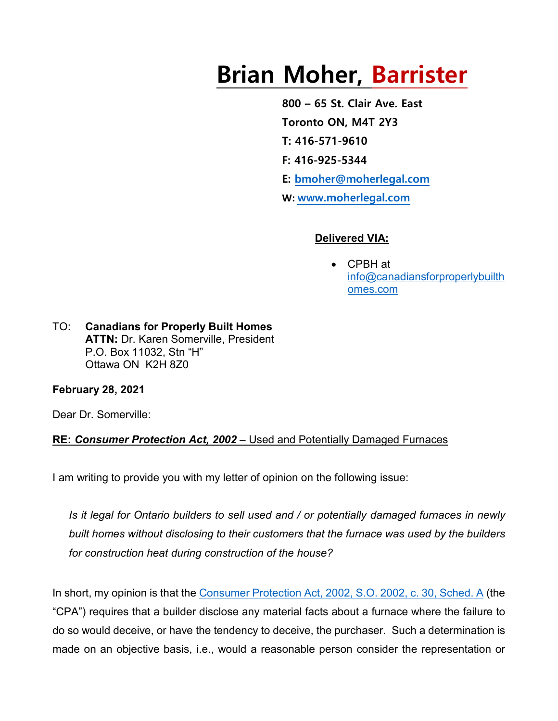# **Brian Moher, Barrister**

**800 – 65 St. Clair Ave. East Toronto ON, M4T 2Y3 T: 416-571-9610 F: 416-925-5344 E: [bmoher@moherlegal.com](mailto:bmoher@moherlegal.com) W: [www.moherlegal.com](http://www.moherlegal.com/)**

### **Delivered VIA:**

• CPBH at [info@canadiansforproperlybuilth](mailto:info@canadiansforproperlybuilthomes.com) [omes.com](mailto:info@canadiansforproperlybuilthomes.com)

TO: **Canadians for Properly Built Homes ATTN:** Dr. Karen Somerville, President P.O. Box 11032, Stn "H" Ottawa ON K2H 8Z0

## **February 28, 2021**

Dear Dr. Somerville:

## **RE:** *Consumer Protection Act, 2002* – Used and Potentially Damaged Furnaces

I am writing to provide you with my letter of opinion on the following issue:

*Is it legal for Ontario builders to sell used and / or potentially damaged furnaces in newly built homes without disclosing to their customers that the furnace was used by the builders for construction heat during construction of the house?*

In short, my opinion is that the [Consumer Protection Act, 2002, S.O. 2002, c. 30, Sched. A](https://www.ontario.ca/laws/statute/02c30#BK17) (the "CPA") requires that a builder disclose any material facts about a furnace where the failure to do so would deceive, or have the tendency to deceive, the purchaser. Such a determination is made on an objective basis, i.e., would a reasonable person consider the representation or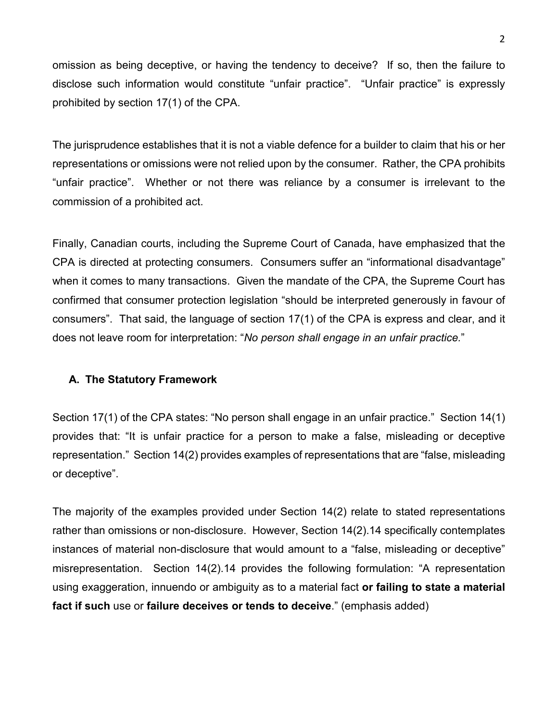omission as being deceptive, or having the tendency to deceive? If so, then the failure to disclose such information would constitute "unfair practice". "Unfair practice" is expressly prohibited by section 17(1) of the CPA.

The jurisprudence establishes that it is not a viable defence for a builder to claim that his or her representations or omissions were not relied upon by the consumer. Rather, the CPA prohibits "unfair practice". Whether or not there was reliance by a consumer is irrelevant to the commission of a prohibited act.

Finally, Canadian courts, including the Supreme Court of Canada, have emphasized that the CPA is directed at protecting consumers. Consumers suffer an "informational disadvantage" when it comes to many transactions. Given the mandate of the CPA, the Supreme Court has confirmed that consumer protection legislation "should be interpreted generously in favour of consumers". That said, the language of section 17(1) of the CPA is express and clear, and it does not leave room for interpretation: "*No person shall engage in an unfair practice.*"

#### **A. The Statutory Framework**

Section 17(1) of the CPA states: "No person shall engage in an unfair practice." Section 14(1) provides that: "It is unfair practice for a person to make a false, misleading or deceptive representation." Section 14(2) provides examples of representations that are "false, misleading or deceptive".

The majority of the examples provided under Section 14(2) relate to stated representations rather than omissions or non-disclosure. However, Section 14(2).14 specifically contemplates instances of material non-disclosure that would amount to a "false, misleading or deceptive" misrepresentation. Section 14(2).14 provides the following formulation: "A representation using exaggeration, innuendo or ambiguity as to a material fact **or failing to state a material fact if such** use or **failure deceives or tends to deceive**." (emphasis added)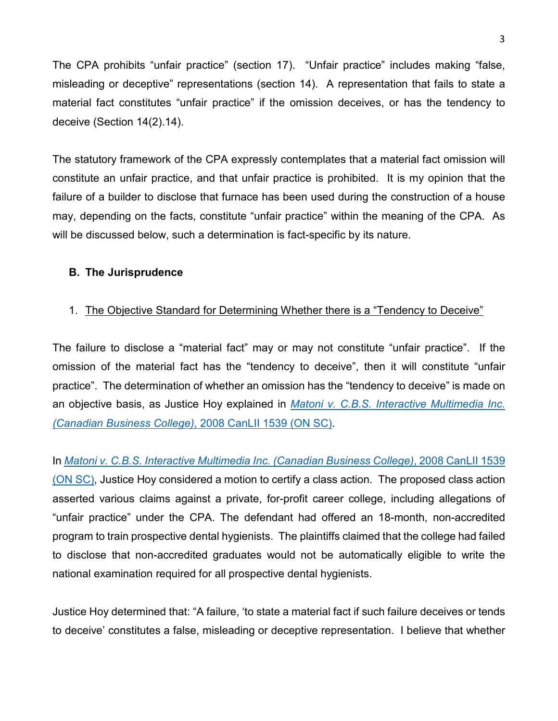The CPA prohibits "unfair practice" (section 17). "Unfair practice" includes making "false, misleading or deceptive" representations (section 14). A representation that fails to state a material fact constitutes "unfair practice" if the omission deceives, or has the tendency to deceive (Section 14(2).14).

The statutory framework of the CPA expressly contemplates that a material fact omission will constitute an unfair practice, and that unfair practice is prohibited. It is my opinion that the failure of a builder to disclose that furnace has been used during the construction of a house may, depending on the facts, constitute "unfair practice" within the meaning of the CPA. As will be discussed below, such a determination is fact-specific by its nature.

#### **B. The Jurisprudence**

#### 1. The Objective Standard for Determining Whether there is a "Tendency to Deceive"

The failure to disclose a "material fact" may or may not constitute "unfair practice". If the omission of the material fact has the "tendency to deceive", then it will constitute "unfair practice". The determination of whether an omission has the "tendency to deceive" is made on an objective basis, as Justice Hoy explained in *[Matoni v. C.B.S. Interactive Multimedia Inc.](https://www.canlii.org/en/on/onsc/doc/2008/2008canlii1539/2008canlii1539.html)  [\(Canadian Business College\)](https://www.canlii.org/en/on/onsc/doc/2008/2008canlii1539/2008canlii1539.html)*, 2008 CanLII 1539 (ON SC).

In *[Matoni v. C.B.S. Interactive Multimedia Inc. \(Canadian Business College\)](https://www.canlii.org/en/on/onsc/doc/2008/2008canlii1539/2008canlii1539.html)*, 2008 CanLII 1539 [\(ON SC\),](https://www.canlii.org/en/on/onsc/doc/2008/2008canlii1539/2008canlii1539.html) Justice Hoy considered a motion to certify a class action. The proposed class action asserted various claims against a private, for-profit career college, including allegations of "unfair practice" under the CPA. The defendant had offered an 18-month, non-accredited program to train prospective dental hygienists. The plaintiffs claimed that the college had failed to disclose that non-accredited graduates would not be automatically eligible to write the national examination required for all prospective dental hygienists.

Justice Hoy determined that: "A failure, 'to state a material fact if such failure deceives or tends to deceive' constitutes a false, misleading or deceptive representation. I believe that whether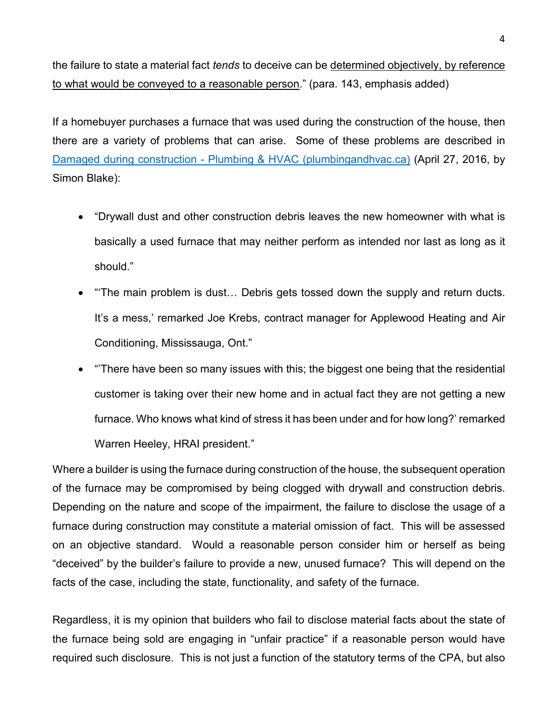the failure to state a material fact *tends* to deceive can be determined objectively, by reference to what would be conveyed to a reasonable person." (para. 143, emphasis added)

If a homebuyer purchases a furnace that was used during the construction of the house, then there are a variety of problems that can arise. Some of these problems are described in Damaged during construction - [Plumbing & HVAC \(plumbingandhvac.ca\)](http://plumbingandhvac.ca/damaged-during-construction/) (April 27, 2016, by Simon Blake):

- "Drywall dust and other construction debris leaves the new homeowner with what is basically a used furnace that may neither perform as intended nor last as long as it should."
- "'The main problem is dust… Debris gets tossed down the supply and return ducts. It's a mess,' remarked Joe Krebs, contract manager for Applewood Heating and Air Conditioning, Mississauga, Ont."
- "'There have been so many issues with this; the biggest one being that the residential customer is taking over their new home and in actual fact they are not getting a new furnace. Who knows what kind of stress it has been under and for how long?' remarked Warren Heeley, HRAI president."

Where a builder is using the furnace during construction of the house, the subsequent operation of the furnace may be compromised by being clogged with drywall and construction debris. Depending on the nature and scope of the impairment, the failure to disclose the usage of a furnace during construction may constitute a material omission of fact. This will be assessed on an objective standard. Would a reasonable person consider him or herself as being "deceived" by the builder's failure to provide a new, unused furnace? This will depend on the facts of the case, including the state, functionality, and safety of the furnace.

Regardless, it is my opinion that builders who fail to disclose material facts about the state of the furnace being sold are engaging in "unfair practice" if a reasonable person would have required such disclosure. This is not just a function of the statutory terms of the CPA, but also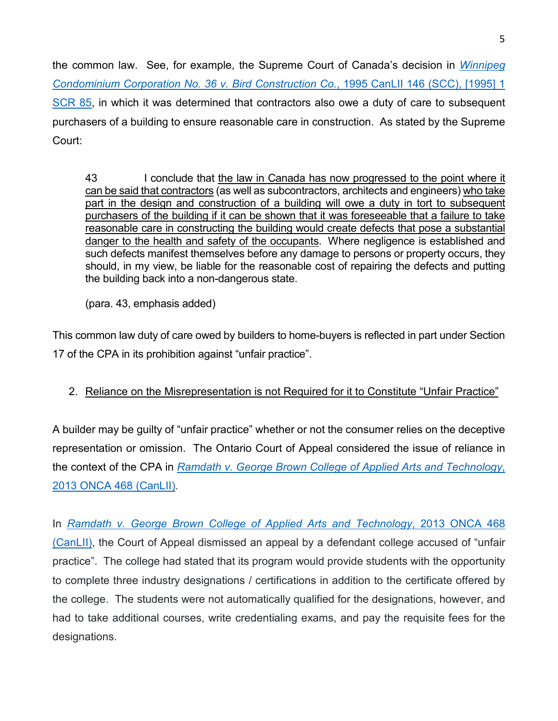the common law. See, for example, the Supreme Court of Canada's decision in *[Winnipeg](https://www.canlii.org/en/ca/scc/doc/1995/1995canlii146/1995canlii146.html)  [Condominium Corporation No. 36 v. Bird Construction Co.](https://www.canlii.org/en/ca/scc/doc/1995/1995canlii146/1995canlii146.html)*, 1995 CanLII 146 (SCC), [1995] 1 [SCR 85,](https://www.canlii.org/en/ca/scc/doc/1995/1995canlii146/1995canlii146.html) in which it was determined that contractors also owe a duty of care to subsequent purchasers of a building to ensure reasonable care in construction. As stated by the Supreme Court:

43 I conclude that the law in Canada has now progressed to the point where it can be said that contractors (as well as subcontractors, architects and engineers) who take part in the design and construction of a building will owe a duty in tort to subsequent purchasers of the building if it can be shown that it was foreseeable that a failure to take reasonable care in constructing the building would create defects that pose a substantial danger to the health and safety of the occupants. Where negligence is established and such defects manifest themselves before any damage to persons or property occurs, they should, in my view, be liable for the reasonable cost of repairing the defects and putting the building back into a non-dangerous state.

(para. 43, emphasis added)

This common law duty of care owed by builders to home-buyers is reflected in part under Section 17 of the CPA in its prohibition against "unfair practice".

# 2. Reliance on the Misrepresentation is not Required for it to Constitute "Unfair Practice"

A builder may be guilty of "unfair practice" whether or not the consumer relies on the deceptive representation or omission. The Ontario Court of Appeal considered the issue of reliance in the context of the CPA in *[Ramdath v. George Brown College of Applied Arts and Technology](https://www.canlii.org/en/on/onca/doc/2013/2013onca468/2013onca468.html)*, [2013 ONCA 468 \(CanLII\).](https://www.canlii.org/en/on/onca/doc/2013/2013onca468/2013onca468.html)

In *[Ramdath v. George Brown College of Applied Arts and Technology](https://www.canlii.org/en/on/onca/doc/2013/2013onca468/2013onca468.html)*, 2013 ONCA 468 [\(CanLII\),](https://www.canlii.org/en/on/onca/doc/2013/2013onca468/2013onca468.html) the Court of Appeal dismissed an appeal by a defendant college accused of "unfair practice". The college had stated that its program would provide students with the opportunity to complete three industry designations / certifications in addition to the certificate offered by the college. The students were not automatically qualified for the designations, however, and had to take additional courses, write credentialing exams, and pay the requisite fees for the designations.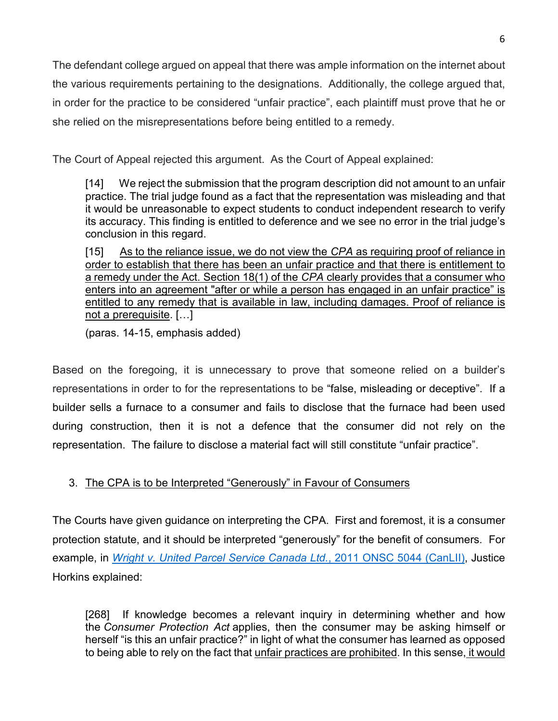The defendant college argued on appeal that there was ample information on the internet about the various requirements pertaining to the designations. Additionally, the college argued that, in order for the practice to be considered "unfair practice", each plaintiff must prove that he or she relied on the misrepresentations before being entitled to a remedy.

The Court of Appeal rejected this argument. As the Court of Appeal explained:

[14] We reject the submission that the program description did not amount to an unfair practice. The trial judge found as a fact that the representation was misleading and that it would be unreasonable to expect students to conduct independent research to verify its accuracy. This finding is entitled to deference and we see no error in the trial judge's conclusion in this regard.

[15] As to the reliance issue, we do not view the *[CPA](https://www.canlii.org/en/on/laws/stat/so-2002-c-30-sch-a/latest/so-2002-c-30-sch-a.html)* as requiring proof of reliance in order to establish that there has been an unfair practice and that there is entitlement to a remedy under the Act. [Section 18\(1\)](https://www.canlii.org/en/on/laws/stat/so-2002-c-30-sch-a/latest/so-2002-c-30-sch-a.html#sec18subsec1_smooth) of the *[CPA](https://www.canlii.org/en/on/laws/stat/so-2002-c-30-sch-a/latest/so-2002-c-30-sch-a.html)* clearly provides that a consumer who enters into an agreement "after or while a person has engaged in an unfair practice" is entitled to any remedy that is available in law, including damages. Proof of reliance is not a prerequisite. […]

(paras. 14-15, emphasis added)

Based on the foregoing, it is unnecessary to prove that someone relied on a builder's representations in order to for the representations to be "false, misleading or deceptive". If a builder sells a furnace to a consumer and fails to disclose that the furnace had been used during construction, then it is not a defence that the consumer did not rely on the representation. The failure to disclose a material fact will still constitute "unfair practice".

# 3. The CPA is to be Interpreted "Generously" in Favour of Consumers

The Courts have given guidance on interpreting the CPA. First and foremost, it is a consumer protection statute, and it should be interpreted "generously" for the benefit of consumers. For example, in *[Wright v. United Parcel Service Canada Ltd.](https://www.canlii.org/en/on/onsc/doc/2011/2011onsc5044/2011onsc5044.html)*, 2011 ONSC 5044 (CanLII), Justice Horkins explained:

[268] If knowledge becomes a relevant inquiry in determining whether and how the *[Consumer Protection Act](https://www.canlii.org/en/on/laws/stat/rso-1990-c-c31/latest/rso-1990-c-c31.html)* applies, then the consumer may be asking himself or herself "is this an unfair practice?" in light of what the consumer has learned as opposed to being able to rely on the fact that unfair practices are prohibited. In this sense, it would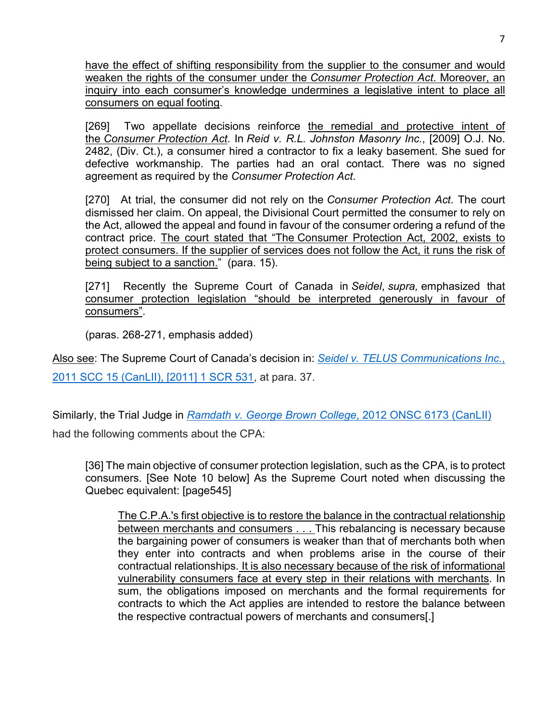have the effect of shifting responsibility from the supplier to the consumer and would weaken the rights of the consumer under the *[Consumer Protection Act](https://www.canlii.org/en/on/laws/stat/rso-1990-c-c31/latest/rso-1990-c-c31.html)*. Moreover, an inquiry into each consumer's knowledge undermines a legislative intent to place all consumers on equal footing.

[269] Two appellate decisions reinforce the remedial and protective intent of the *[Consumer Protection Act](https://www.canlii.org/en/on/laws/stat/rso-1990-c-c31/latest/rso-1990-c-c31.html)*. In *Reid v. R.L. Johnston Masonry Inc.*, [2009] O.J. No. 2482, (Div. Ct.), a consumer hired a contractor to fix a leaky basement. She sued for defective workmanship. The parties had an oral contact. There was no signed agreement as required by the *[Consumer Protection Act](https://www.canlii.org/en/on/laws/stat/rso-1990-c-c31/latest/rso-1990-c-c31.html)*.

[270] At trial, the consumer did not rely on the *[Consumer Protection Act](https://www.canlii.org/en/on/laws/stat/rso-1990-c-c31/latest/rso-1990-c-c31.html)*. The court dismissed her claim. On appeal, the Divisional Court permitted the consumer to rely on the Act, allowed the appeal and found in favour of the consumer ordering a refund of the contract price. The court stated that "The [Consumer Protection Act, 2002,](https://www.canlii.org/en/on/laws/stat/so-2002-c-30-sch-a/latest/so-2002-c-30-sch-a.html) exists to protect consumers. If the supplier of services does not follow the Act, it runs the risk of being subject to a sanction." (para. 15).

[271] Recently the Supreme Court of Canada in *Seidel*, *supra,* emphasized that consumer protection legislation "should be interpreted generously in favour of consumers".

(paras. 268-271, emphasis added)

Also see: The Supreme Court of Canada's decision in: *[Seidel v. TELUS Communications Inc.](https://www.canlii.org/en/ca/scc/doc/2011/2011scc15/2011scc15.html)*, [2011 SCC 15 \(CanLII\), \[2011\] 1 SCR 531,](https://www.canlii.org/en/ca/scc/doc/2011/2011scc15/2011scc15.html) at para. 37.

Similarly, the Trial Judge in *[Ramdath v. George Brown College](https://www.canlii.org/en/on/onsc/doc/2012/2012onsc6173/2012onsc6173.html)*, 2012 ONSC 6173 (CanLII) had the following comments about the CPA:

[36] The main objective of consumer protection legislation, such as the [CPA,](https://www.canlii.org/en/qc/laws/stat/cqlr-c-p-40.1/latest/cqlr-c-p-40.1.html) is to protect consumers. [See Note 10 below] As the Supreme Court noted when discussing the Quebec equivalent: [page545]

The C.P.A.'s first objective is to restore the balance in the contractual relationship between merchants and consumers . . . This rebalancing is necessary because the bargaining power of consumers is weaker than that of merchants both when they enter into contracts and when problems arise in the course of their contractual relationships. It is also necessary because of the risk of informational vulnerability consumers face at every step in their relations with merchants. In sum, the obligations imposed on merchants and the formal requirements for contracts to which the Act applies are intended to restore the balance between the respective contractual powers of merchants and consumers[.]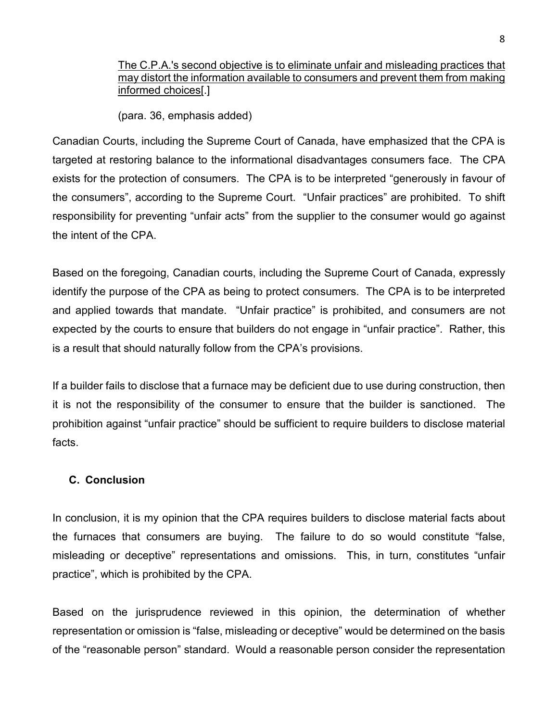The C.P.A.'s second objective is to eliminate unfair and misleading practices that may distort the information available to consumers and prevent them from making informed choices[.]

(para. 36, emphasis added)

Canadian Courts, including the Supreme Court of Canada, have emphasized that the CPA is targeted at restoring balance to the informational disadvantages consumers face. The CPA exists for the protection of consumers. The CPA is to be interpreted "generously in favour of the consumers", according to the Supreme Court. "Unfair practices" are prohibited. To shift responsibility for preventing "unfair acts" from the supplier to the consumer would go against the intent of the CPA.

Based on the foregoing, Canadian courts, including the Supreme Court of Canada, expressly identify the purpose of the CPA as being to protect consumers. The CPA is to be interpreted and applied towards that mandate. "Unfair practice" is prohibited, and consumers are not expected by the courts to ensure that builders do not engage in "unfair practice". Rather, this is a result that should naturally follow from the CPA's provisions.

If a builder fails to disclose that a furnace may be deficient due to use during construction, then it is not the responsibility of the consumer to ensure that the builder is sanctioned. The prohibition against "unfair practice" should be sufficient to require builders to disclose material facts.

#### **C. Conclusion**

In conclusion, it is my opinion that the CPA requires builders to disclose material facts about the furnaces that consumers are buying. The failure to do so would constitute "false, misleading or deceptive" representations and omissions. This, in turn, constitutes "unfair practice", which is prohibited by the CPA.

Based on the jurisprudence reviewed in this opinion, the determination of whether representation or omission is "false, misleading or deceptive" would be determined on the basis of the "reasonable person" standard. Would a reasonable person consider the representation